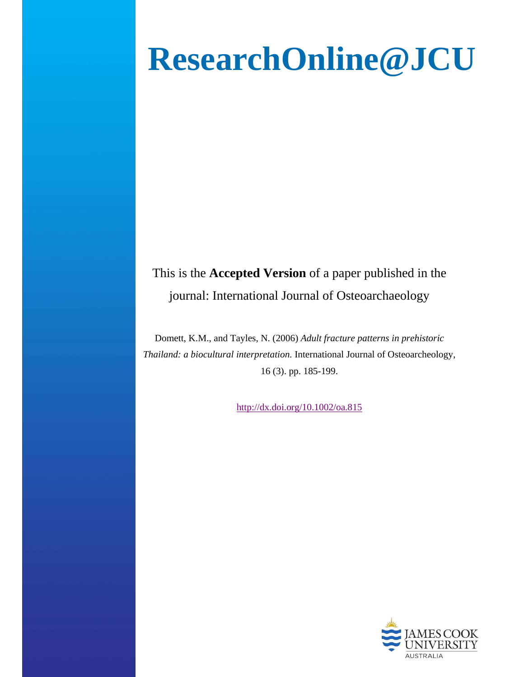# **ResearchOnline@JCU**

This is the **Accepted Version** of a paper published in the journal: International Journal of Osteoarchaeology

Domett, K.M., and Tayles, N. (2006) *Adult fracture patterns in prehistoric Thailand: a biocultural interpretation.* International Journal of Osteoarcheology, 16 (3). pp. 185-199.

http://dx.doi.org/10.1002/oa.815

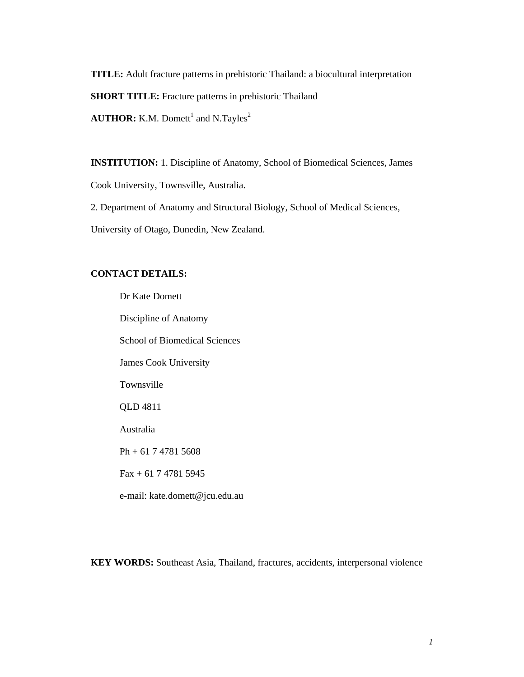**TITLE:** Adult fracture patterns in prehistoric Thailand: a biocultural interpretation **SHORT TITLE:** Fracture patterns in prehistoric Thailand

**AUTHOR:** K.M. Domett<sup>1</sup> and N.Tayles<sup>2</sup>

**INSTITUTION:** 1. Discipline of Anatomy, School of Biomedical Sciences, James

Cook University, Townsville, Australia.

2. Department of Anatomy and Structural Biology, School of Medical Sciences,

University of Otago, Dunedin, New Zealand.

#### **CONTACT DETAILS:**

 Dr Kate Domett Discipline of Anatomy School of Biomedical Sciences James Cook University Townsville QLD 4811 Australia Ph + 61 7 4781 5608 Fax + 61 7 4781 5945 e-mail: kate.domett@jcu.edu.au

**KEY WORDS:** Southeast Asia, Thailand, fractures, accidents, interpersonal violence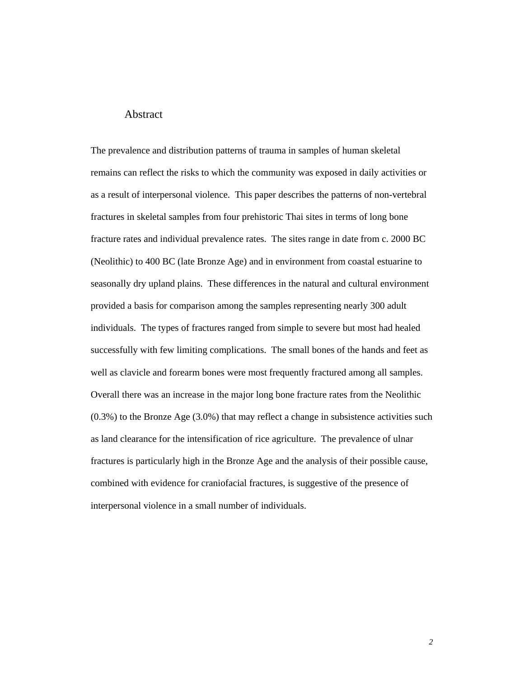#### **Abstract**

The prevalence and distribution patterns of trauma in samples of human skeletal remains can reflect the risks to which the community was exposed in daily activities or as a result of interpersonal violence. This paper describes the patterns of non-vertebral fractures in skeletal samples from four prehistoric Thai sites in terms of long bone fracture rates and individual prevalence rates. The sites range in date from c. 2000 BC (Neolithic) to 400 BC (late Bronze Age) and in environment from coastal estuarine to seasonally dry upland plains. These differences in the natural and cultural environment provided a basis for comparison among the samples representing nearly 300 adult individuals. The types of fractures ranged from simple to severe but most had healed successfully with few limiting complications. The small bones of the hands and feet as well as clavicle and forearm bones were most frequently fractured among all samples. Overall there was an increase in the major long bone fracture rates from the Neolithic (0.3%) to the Bronze Age (3.0%) that may reflect a change in subsistence activities such as land clearance for the intensification of rice agriculture. The prevalence of ulnar fractures is particularly high in the Bronze Age and the analysis of their possible cause, combined with evidence for craniofacial fractures, is suggestive of the presence of interpersonal violence in a small number of individuals.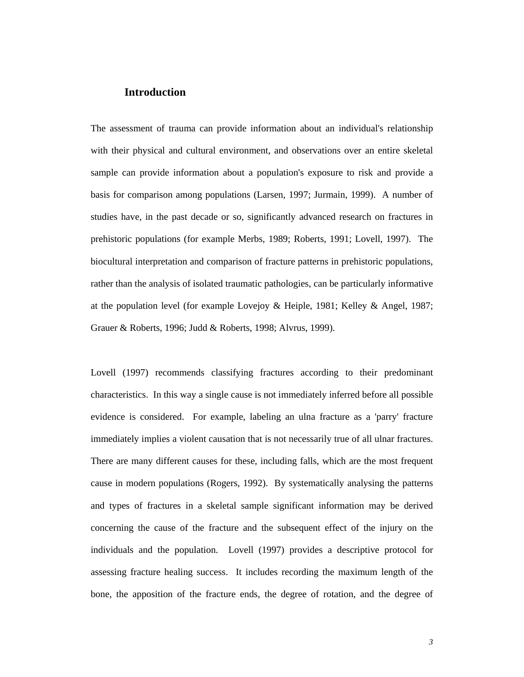#### **Introduction**

The assessment of trauma can provide information about an individual's relationship with their physical and cultural environment, and observations over an entire skeletal sample can provide information about a population's exposure to risk and provide a basis for comparison among populations (Larsen, 1997; Jurmain, 1999). A number of studies have, in the past decade or so, significantly advanced research on fractures in prehistoric populations (for example Merbs, 1989; Roberts, 1991; Lovell, 1997). The biocultural interpretation and comparison of fracture patterns in prehistoric populations, rather than the analysis of isolated traumatic pathologies, can be particularly informative at the population level (for example Lovejoy & Heiple, 1981; Kelley & Angel, 1987; Grauer & Roberts, 1996; Judd & Roberts, 1998; Alvrus, 1999).

Lovell (1997) recommends classifying fractures according to their predominant characteristics. In this way a single cause is not immediately inferred before all possible evidence is considered. For example, labeling an ulna fracture as a 'parry' fracture immediately implies a violent causation that is not necessarily true of all ulnar fractures. There are many different causes for these, including falls, which are the most frequent cause in modern populations (Rogers, 1992). By systematically analysing the patterns and types of fractures in a skeletal sample significant information may be derived concerning the cause of the fracture and the subsequent effect of the injury on the individuals and the population. Lovell (1997) provides a descriptive protocol for assessing fracture healing success. It includes recording the maximum length of the bone, the apposition of the fracture ends, the degree of rotation, and the degree of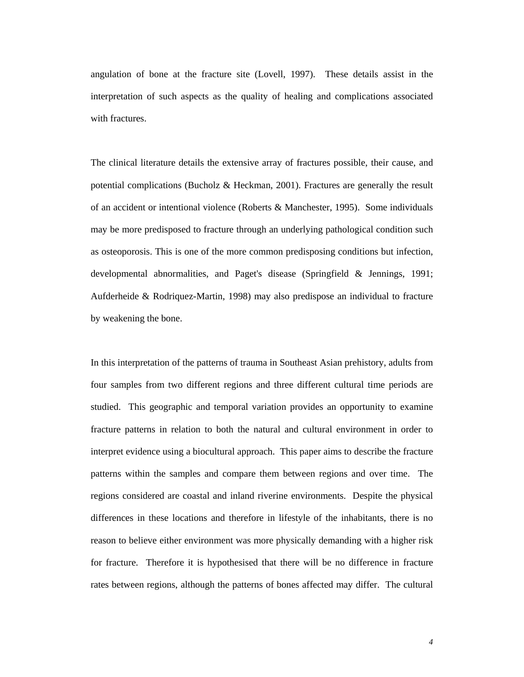angulation of bone at the fracture site (Lovell, 1997). These details assist in the interpretation of such aspects as the quality of healing and complications associated with fractures.

The clinical literature details the extensive array of fractures possible, their cause, and potential complications (Bucholz & Heckman, 2001). Fractures are generally the result of an accident or intentional violence (Roberts & Manchester, 1995). Some individuals may be more predisposed to fracture through an underlying pathological condition such as osteoporosis. This is one of the more common predisposing conditions but infection, developmental abnormalities, and Paget's disease (Springfield & Jennings, 1991; Aufderheide & Rodriquez-Martin, 1998) may also predispose an individual to fracture by weakening the bone.

In this interpretation of the patterns of trauma in Southeast Asian prehistory, adults from four samples from two different regions and three different cultural time periods are studied. This geographic and temporal variation provides an opportunity to examine fracture patterns in relation to both the natural and cultural environment in order to interpret evidence using a biocultural approach. This paper aims to describe the fracture patterns within the samples and compare them between regions and over time. The regions considered are coastal and inland riverine environments. Despite the physical differences in these locations and therefore in lifestyle of the inhabitants, there is no reason to believe either environment was more physically demanding with a higher risk for fracture. Therefore it is hypothesised that there will be no difference in fracture rates between regions, although the patterns of bones affected may differ. The cultural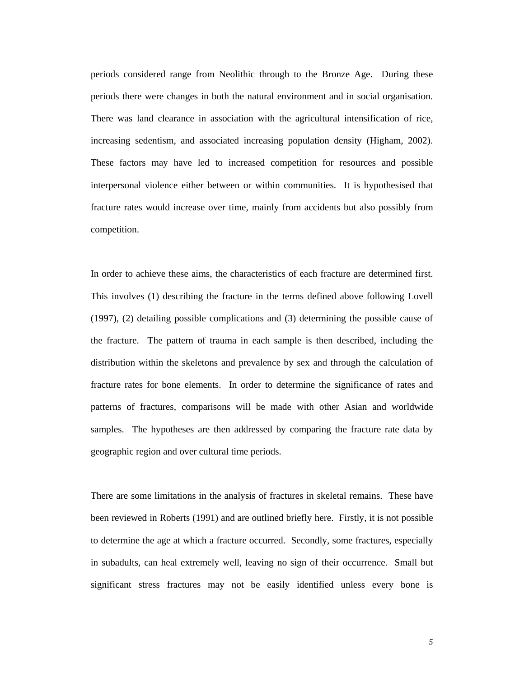periods considered range from Neolithic through to the Bronze Age. During these periods there were changes in both the natural environment and in social organisation. There was land clearance in association with the agricultural intensification of rice, increasing sedentism, and associated increasing population density (Higham, 2002). These factors may have led to increased competition for resources and possible interpersonal violence either between or within communities. It is hypothesised that fracture rates would increase over time, mainly from accidents but also possibly from competition.

In order to achieve these aims, the characteristics of each fracture are determined first. This involves (1) describing the fracture in the terms defined above following Lovell (1997), (2) detailing possible complications and (3) determining the possible cause of the fracture. The pattern of trauma in each sample is then described, including the distribution within the skeletons and prevalence by sex and through the calculation of fracture rates for bone elements. In order to determine the significance of rates and patterns of fractures, comparisons will be made with other Asian and worldwide samples. The hypotheses are then addressed by comparing the fracture rate data by geographic region and over cultural time periods.

There are some limitations in the analysis of fractures in skeletal remains. These have been reviewed in Roberts (1991) and are outlined briefly here. Firstly, it is not possible to determine the age at which a fracture occurred. Secondly, some fractures, especially in subadults, can heal extremely well, leaving no sign of their occurrence. Small but significant stress fractures may not be easily identified unless every bone is

*5*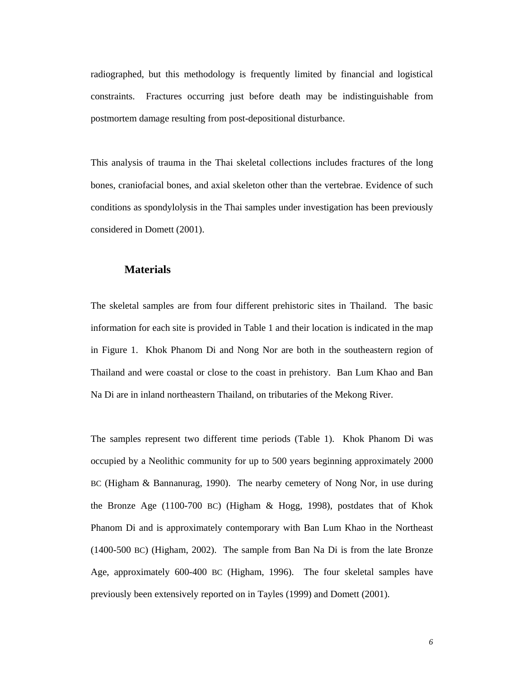radiographed, but this methodology is frequently limited by financial and logistical constraints. Fractures occurring just before death may be indistinguishable from postmortem damage resulting from post-depositional disturbance.

This analysis of trauma in the Thai skeletal collections includes fractures of the long bones, craniofacial bones, and axial skeleton other than the vertebrae. Evidence of such conditions as spondylolysis in the Thai samples under investigation has been previously considered in Domett (2001).

#### **Materials**

The skeletal samples are from four different prehistoric sites in Thailand. The basic information for each site is provided in Table 1 and their location is indicated in the map in Figure 1. Khok Phanom Di and Nong Nor are both in the southeastern region of Thailand and were coastal or close to the coast in prehistory. Ban Lum Khao and Ban Na Di are in inland northeastern Thailand, on tributaries of the Mekong River.

The samples represent two different time periods (Table 1). Khok Phanom Di was occupied by a Neolithic community for up to 500 years beginning approximately 2000 BC (Higham & Bannanurag, 1990). The nearby cemetery of Nong Nor, in use during the Bronze Age (1100-700 BC) (Higham & Hogg, 1998), postdates that of Khok Phanom Di and is approximately contemporary with Ban Lum Khao in the Northeast (1400-500 BC) (Higham, 2002). The sample from Ban Na Di is from the late Bronze Age, approximately 600-400 BC (Higham, 1996). The four skeletal samples have previously been extensively reported on in Tayles (1999) and Domett (2001).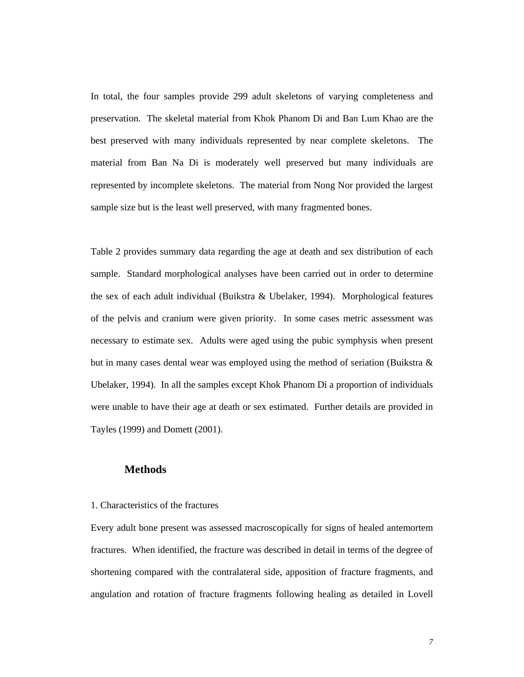In total, the four samples provide 299 adult skeletons of varying completeness and preservation. The skeletal material from Khok Phanom Di and Ban Lum Khao are the best preserved with many individuals represented by near complete skeletons. The material from Ban Na Di is moderately well preserved but many individuals are represented by incomplete skeletons. The material from Nong Nor provided the largest sample size but is the least well preserved, with many fragmented bones.

Table 2 provides summary data regarding the age at death and sex distribution of each sample. Standard morphological analyses have been carried out in order to determine the sex of each adult individual (Buikstra & Ubelaker, 1994). Morphological features of the pelvis and cranium were given priority. In some cases metric assessment was necessary to estimate sex. Adults were aged using the pubic symphysis when present but in many cases dental wear was employed using the method of seriation (Buikstra  $\&$ Ubelaker, 1994). In all the samples except Khok Phanom Di a proportion of individuals were unable to have their age at death or sex estimated. Further details are provided in Tayles (1999) and Domett (2001).

#### **Methods**

1. Characteristics of the fractures

Every adult bone present was assessed macroscopically for signs of healed antemortem fractures. When identified, the fracture was described in detail in terms of the degree of shortening compared with the contralateral side, apposition of fracture fragments, and angulation and rotation of fracture fragments following healing as detailed in Lovell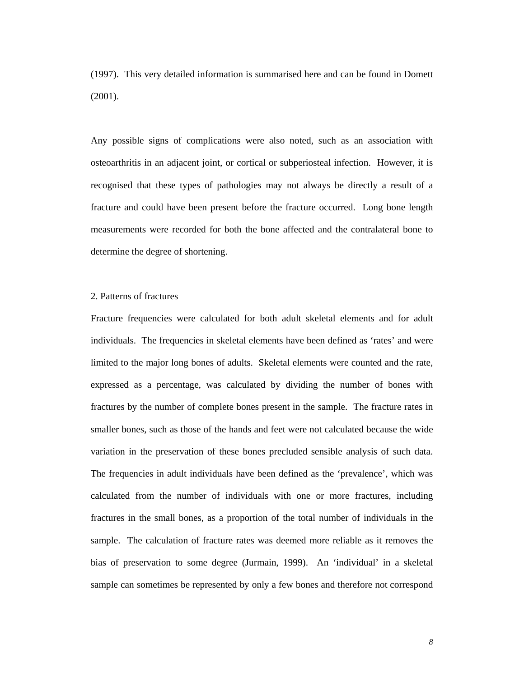(1997). This very detailed information is summarised here and can be found in Domett (2001).

Any possible signs of complications were also noted, such as an association with osteoarthritis in an adjacent joint, or cortical or subperiosteal infection. However, it is recognised that these types of pathologies may not always be directly a result of a fracture and could have been present before the fracture occurred. Long bone length measurements were recorded for both the bone affected and the contralateral bone to determine the degree of shortening.

#### 2. Patterns of fractures

Fracture frequencies were calculated for both adult skeletal elements and for adult individuals. The frequencies in skeletal elements have been defined as 'rates' and were limited to the major long bones of adults. Skeletal elements were counted and the rate, expressed as a percentage, was calculated by dividing the number of bones with fractures by the number of complete bones present in the sample. The fracture rates in smaller bones, such as those of the hands and feet were not calculated because the wide variation in the preservation of these bones precluded sensible analysis of such data. The frequencies in adult individuals have been defined as the 'prevalence', which was calculated from the number of individuals with one or more fractures, including fractures in the small bones, as a proportion of the total number of individuals in the sample. The calculation of fracture rates was deemed more reliable as it removes the bias of preservation to some degree (Jurmain, 1999). An 'individual' in a skeletal sample can sometimes be represented by only a few bones and therefore not correspond

*8*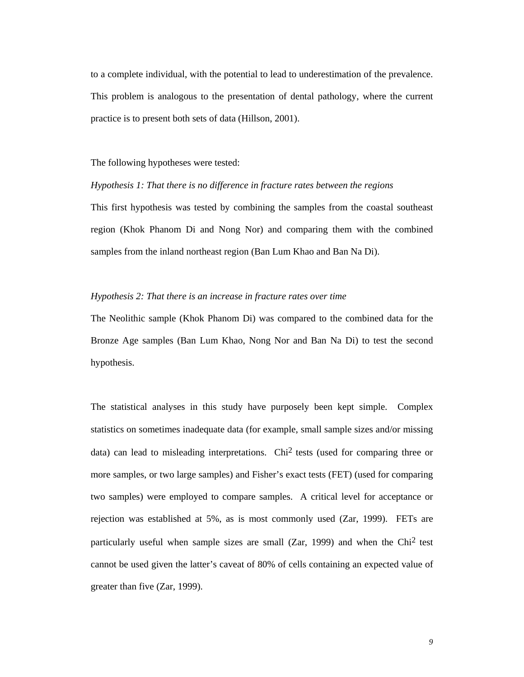to a complete individual, with the potential to lead to underestimation of the prevalence. This problem is analogous to the presentation of dental pathology, where the current practice is to present both sets of data (Hillson, 2001).

The following hypotheses were tested:

*Hypothesis 1: That there is no difference in fracture rates between the regions*  This first hypothesis was tested by combining the samples from the coastal southeast region (Khok Phanom Di and Nong Nor) and comparing them with the combined samples from the inland northeast region (Ban Lum Khao and Ban Na Di).

#### *Hypothesis 2: That there is an increase in fracture rates over time*

The Neolithic sample (Khok Phanom Di) was compared to the combined data for the Bronze Age samples (Ban Lum Khao, Nong Nor and Ban Na Di) to test the second hypothesis.

The statistical analyses in this study have purposely been kept simple. Complex statistics on sometimes inadequate data (for example, small sample sizes and/or missing data) can lead to misleading interpretations. Chi2 tests (used for comparing three or more samples, or two large samples) and Fisher's exact tests (FET) (used for comparing two samples) were employed to compare samples. A critical level for acceptance or rejection was established at 5%, as is most commonly used (Zar, 1999). FETs are particularly useful when sample sizes are small ( $Zar$ , 1999) and when the Chi<sup>2</sup> test cannot be used given the latter's caveat of 80% of cells containing an expected value of greater than five (Zar, 1999).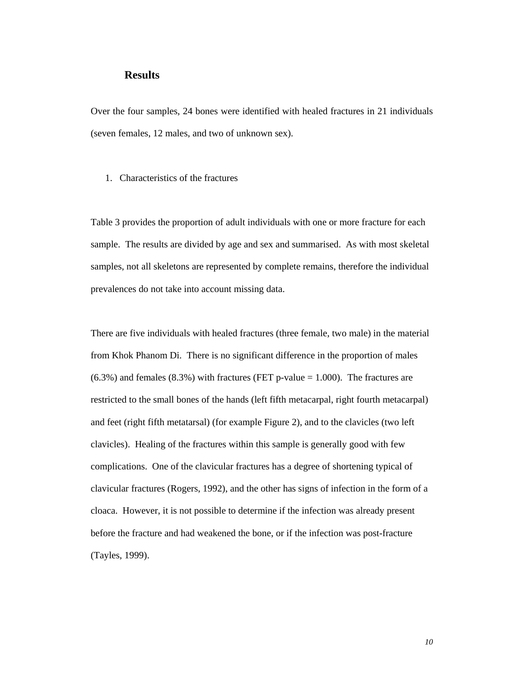#### **Results**

Over the four samples, 24 bones were identified with healed fractures in 21 individuals (seven females, 12 males, and two of unknown sex).

1. Characteristics of the fractures

Table 3 provides the proportion of adult individuals with one or more fracture for each sample. The results are divided by age and sex and summarised. As with most skeletal samples, not all skeletons are represented by complete remains, therefore the individual prevalences do not take into account missing data.

There are five individuals with healed fractures (three female, two male) in the material from Khok Phanom Di. There is no significant difference in the proportion of males  $(6.3\%)$  and females  $(8.3\%)$  with fractures (FET p-value = 1.000). The fractures are restricted to the small bones of the hands (left fifth metacarpal, right fourth metacarpal) and feet (right fifth metatarsal) (for example Figure 2), and to the clavicles (two left clavicles). Healing of the fractures within this sample is generally good with few complications. One of the clavicular fractures has a degree of shortening typical of clavicular fractures (Rogers, 1992), and the other has signs of infection in the form of a cloaca. However, it is not possible to determine if the infection was already present before the fracture and had weakened the bone, or if the infection was post-fracture (Tayles, 1999).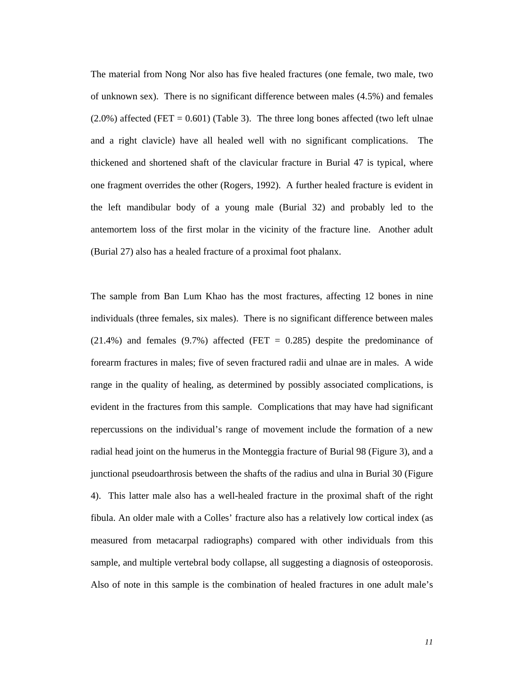The material from Nong Nor also has five healed fractures (one female, two male, two of unknown sex). There is no significant difference between males (4.5%) and females  $(2.0\%)$  affected (FET = 0.601) (Table 3). The three long bones affected (two left ulnae and a right clavicle) have all healed well with no significant complications. The thickened and shortened shaft of the clavicular fracture in Burial 47 is typical, where one fragment overrides the other (Rogers, 1992). A further healed fracture is evident in the left mandibular body of a young male (Burial 32) and probably led to the antemortem loss of the first molar in the vicinity of the fracture line. Another adult (Burial 27) also has a healed fracture of a proximal foot phalanx.

The sample from Ban Lum Khao has the most fractures, affecting 12 bones in nine individuals (three females, six males). There is no significant difference between males  $(21.4%)$  and females  $(9.7%)$  affected (FET = 0.285) despite the predominance of forearm fractures in males; five of seven fractured radii and ulnae are in males. A wide range in the quality of healing, as determined by possibly associated complications, is evident in the fractures from this sample. Complications that may have had significant repercussions on the individual's range of movement include the formation of a new radial head joint on the humerus in the Monteggia fracture of Burial 98 (Figure 3), and a junctional pseudoarthrosis between the shafts of the radius and ulna in Burial 30 (Figure 4). This latter male also has a well-healed fracture in the proximal shaft of the right fibula. An older male with a Colles' fracture also has a relatively low cortical index (as measured from metacarpal radiographs) compared with other individuals from this sample, and multiple vertebral body collapse, all suggesting a diagnosis of osteoporosis. Also of note in this sample is the combination of healed fractures in one adult male's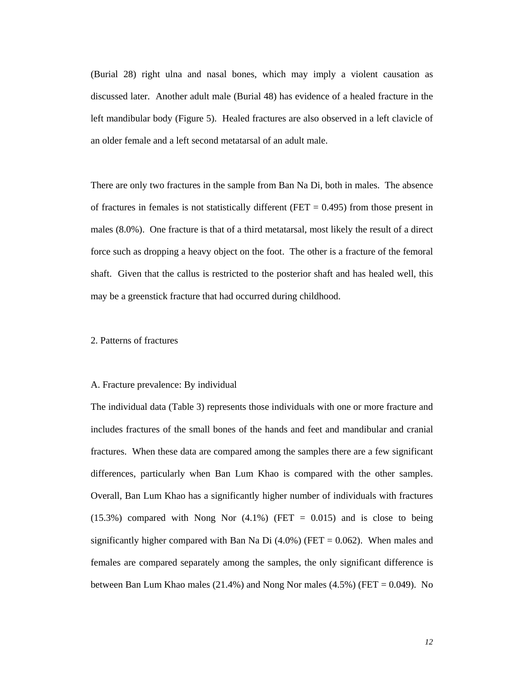(Burial 28) right ulna and nasal bones, which may imply a violent causation as discussed later. Another adult male (Burial 48) has evidence of a healed fracture in the left mandibular body (Figure 5). Healed fractures are also observed in a left clavicle of an older female and a left second metatarsal of an adult male.

There are only two fractures in the sample from Ban Na Di, both in males. The absence of fractures in females is not statistically different (FET  $= 0.495$ ) from those present in males (8.0%). One fracture is that of a third metatarsal, most likely the result of a direct force such as dropping a heavy object on the foot. The other is a fracture of the femoral shaft. Given that the callus is restricted to the posterior shaft and has healed well, this may be a greenstick fracture that had occurred during childhood.

#### 2. Patterns of fractures

#### A. Fracture prevalence: By individual

The individual data (Table 3) represents those individuals with one or more fracture and includes fractures of the small bones of the hands and feet and mandibular and cranial fractures. When these data are compared among the samples there are a few significant differences, particularly when Ban Lum Khao is compared with the other samples. Overall, Ban Lum Khao has a significantly higher number of individuals with fractures  $(15.3\%)$  compared with Nong Nor  $(4.1\%)$  (FET = 0.015) and is close to being significantly higher compared with Ban Na Di  $(4.0\%)$  (FET = 0.062). When males and females are compared separately among the samples, the only significant difference is between Ban Lum Khao males (21.4%) and Nong Nor males (4.5%) (FET = 0.049). No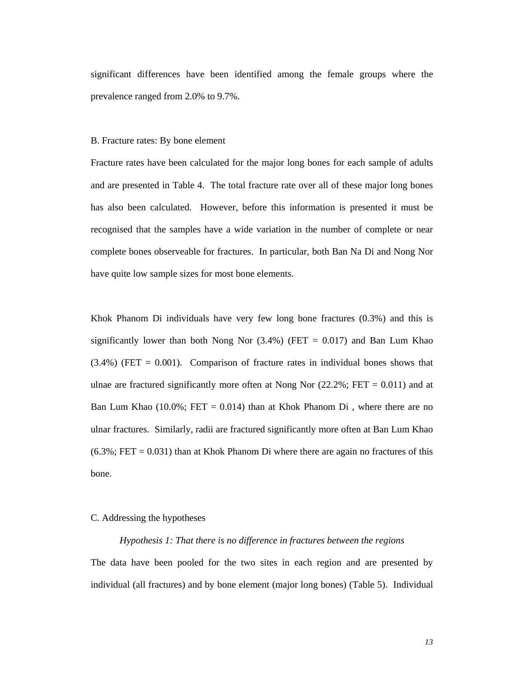significant differences have been identified among the female groups where the prevalence ranged from 2.0% to 9.7%.

#### B. Fracture rates: By bone element

Fracture rates have been calculated for the major long bones for each sample of adults and are presented in Table 4. The total fracture rate over all of these major long bones has also been calculated. However, before this information is presented it must be recognised that the samples have a wide variation in the number of complete or near complete bones observeable for fractures. In particular, both Ban Na Di and Nong Nor have quite low sample sizes for most bone elements.

Khok Phanom Di individuals have very few long bone fractures (0.3%) and this is significantly lower than both Nong Nor  $(3.4%)$  (FET = 0.017) and Ban Lum Khao  $(3.4%)$  (FET = 0.001). Comparison of fracture rates in individual bones shows that ulnae are fractured significantly more often at Nong Nor  $(22.2\%; FET = 0.011)$  and at Ban Lum Khao (10.0%; FET = 0.014) than at Khok Phanom Di, where there are no ulnar fractures. Similarly, radii are fractured significantly more often at Ban Lum Khao  $(6.3\%; FET = 0.031)$  than at Khok Phanom Di where there are again no fractures of this bone.

#### C. Addressing the hypotheses

#### *Hypothesis 1: That there is no difference in fractures between the regions*

The data have been pooled for the two sites in each region and are presented by individual (all fractures) and by bone element (major long bones) (Table 5). Individual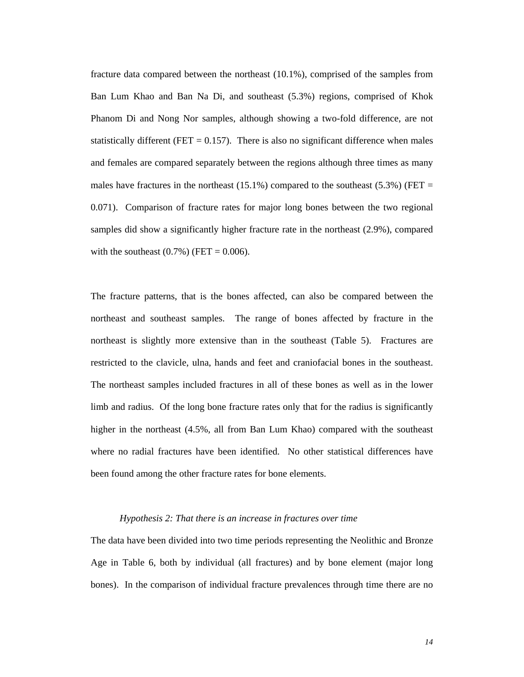fracture data compared between the northeast (10.1%), comprised of the samples from Ban Lum Khao and Ban Na Di, and southeast (5.3%) regions, comprised of Khok Phanom Di and Nong Nor samples, although showing a two-fold difference, are not statistically different (FET  $= 0.157$ ). There is also no significant difference when males and females are compared separately between the regions although three times as many males have fractures in the northeast  $(15.1\%)$  compared to the southeast  $(5.3\%)$  (FET = 0.071). Comparison of fracture rates for major long bones between the two regional samples did show a significantly higher fracture rate in the northeast (2.9%), compared with the southeast  $(0.7%)$  (FET = 0.006).

The fracture patterns, that is the bones affected, can also be compared between the northeast and southeast samples. The range of bones affected by fracture in the northeast is slightly more extensive than in the southeast (Table 5). Fractures are restricted to the clavicle, ulna, hands and feet and craniofacial bones in the southeast. The northeast samples included fractures in all of these bones as well as in the lower limb and radius. Of the long bone fracture rates only that for the radius is significantly higher in the northeast (4.5%, all from Ban Lum Khao) compared with the southeast where no radial fractures have been identified. No other statistical differences have been found among the other fracture rates for bone elements.

#### *Hypothesis 2: That there is an increase in fractures over time*

The data have been divided into two time periods representing the Neolithic and Bronze Age in Table 6, both by individual (all fractures) and by bone element (major long bones). In the comparison of individual fracture prevalences through time there are no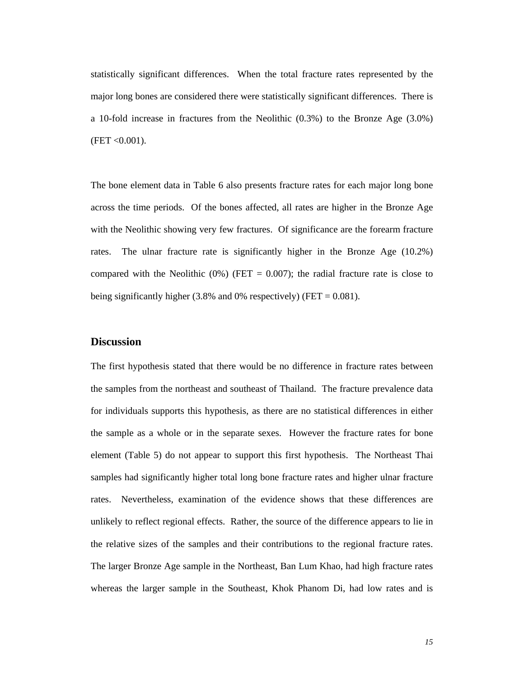statistically significant differences. When the total fracture rates represented by the major long bones are considered there were statistically significant differences. There is a 10-fold increase in fractures from the Neolithic (0.3%) to the Bronze Age (3.0%)  $(FET < 0.001)$ .

The bone element data in Table 6 also presents fracture rates for each major long bone across the time periods. Of the bones affected, all rates are higher in the Bronze Age with the Neolithic showing very few fractures. Of significance are the forearm fracture rates. The ulnar fracture rate is significantly higher in the Bronze Age (10.2%) compared with the Neolithic  $(0\%)$  (FET = 0.007); the radial fracture rate is close to being significantly higher  $(3.8\%$  and 0% respectively) (FET = 0.081).

#### **Discussion**

The first hypothesis stated that there would be no difference in fracture rates between the samples from the northeast and southeast of Thailand. The fracture prevalence data for individuals supports this hypothesis, as there are no statistical differences in either the sample as a whole or in the separate sexes. However the fracture rates for bone element (Table 5) do not appear to support this first hypothesis. The Northeast Thai samples had significantly higher total long bone fracture rates and higher ulnar fracture rates. Nevertheless, examination of the evidence shows that these differences are unlikely to reflect regional effects. Rather, the source of the difference appears to lie in the relative sizes of the samples and their contributions to the regional fracture rates. The larger Bronze Age sample in the Northeast, Ban Lum Khao, had high fracture rates whereas the larger sample in the Southeast, Khok Phanom Di, had low rates and is

*15*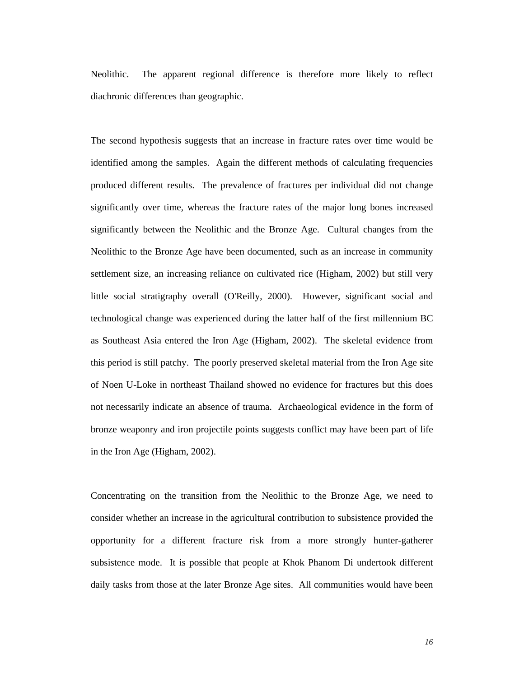Neolithic. The apparent regional difference is therefore more likely to reflect diachronic differences than geographic.

The second hypothesis suggests that an increase in fracture rates over time would be identified among the samples. Again the different methods of calculating frequencies produced different results. The prevalence of fractures per individual did not change significantly over time, whereas the fracture rates of the major long bones increased significantly between the Neolithic and the Bronze Age. Cultural changes from the Neolithic to the Bronze Age have been documented, such as an increase in community settlement size, an increasing reliance on cultivated rice (Higham, 2002) but still very little social stratigraphy overall (O'Reilly, 2000). However, significant social and technological change was experienced during the latter half of the first millennium BC as Southeast Asia entered the Iron Age (Higham, 2002). The skeletal evidence from this period is still patchy. The poorly preserved skeletal material from the Iron Age site of Noen U-Loke in northeast Thailand showed no evidence for fractures but this does not necessarily indicate an absence of trauma. Archaeological evidence in the form of bronze weaponry and iron projectile points suggests conflict may have been part of life in the Iron Age (Higham, 2002).

Concentrating on the transition from the Neolithic to the Bronze Age, we need to consider whether an increase in the agricultural contribution to subsistence provided the opportunity for a different fracture risk from a more strongly hunter-gatherer subsistence mode. It is possible that people at Khok Phanom Di undertook different daily tasks from those at the later Bronze Age sites. All communities would have been

*16*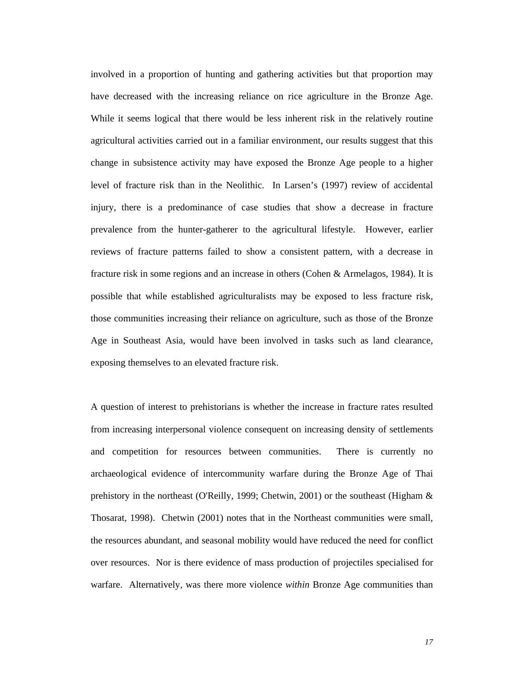involved in a proportion of hunting and gathering activities but that proportion may have decreased with the increasing reliance on rice agriculture in the Bronze Age. While it seems logical that there would be less inherent risk in the relatively routine agricultural activities carried out in a familiar environment, our results suggest that this change in subsistence activity may have exposed the Bronze Age people to a higher level of fracture risk than in the Neolithic. In Larsen's (1997) review of accidental injury, there is a predominance of case studies that show a decrease in fracture prevalence from the hunter-gatherer to the agricultural lifestyle. However, earlier reviews of fracture patterns failed to show a consistent pattern, with a decrease in fracture risk in some regions and an increase in others (Cohen & Armelagos, 1984). It is possible that while established agriculturalists may be exposed to less fracture risk, those communities increasing their reliance on agriculture, such as those of the Bronze Age in Southeast Asia, would have been involved in tasks such as land clearance, exposing themselves to an elevated fracture risk.

A question of interest to prehistorians is whether the increase in fracture rates resulted from increasing interpersonal violence consequent on increasing density of settlements and competition for resources between communities. There is currently no archaeological evidence of intercommunity warfare during the Bronze Age of Thai prehistory in the northeast (O'Reilly, 1999; Chetwin, 2001) or the southeast (Higham & Thosarat, 1998).Chetwin (2001) notes that in the Northeast communities were small, the resources abundant, and seasonal mobility would have reduced the need for conflict over resources. Nor is there evidence of mass production of projectiles specialised for warfare. Alternatively, was there more violence *within* Bronze Age communities than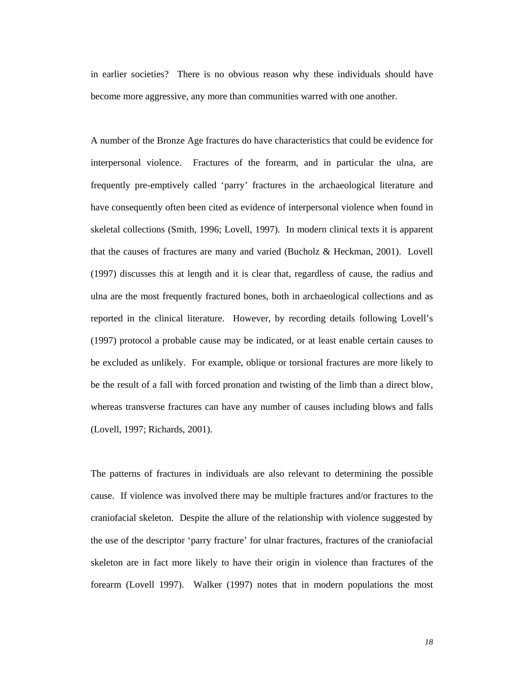in earlier societies? There is no obvious reason why these individuals should have become more aggressive, any more than communities warred with one another.

A number of the Bronze Age fractures do have characteristics that could be evidence for interpersonal violence. Fractures of the forearm, and in particular the ulna, are frequently pre-emptively called 'parry' fractures in the archaeological literature and have consequently often been cited as evidence of interpersonal violence when found in skeletal collections (Smith, 1996; Lovell, 1997). In modern clinical texts it is apparent that the causes of fractures are many and varied (Bucholz & Heckman, 2001). Lovell (1997) discusses this at length and it is clear that, regardless of cause, the radius and ulna are the most frequently fractured bones, both in archaeological collections and as reported in the clinical literature. However, by recording details following Lovell's (1997) protocol a probable cause may be indicated, or at least enable certain causes to be excluded as unlikely. For example, oblique or torsional fractures are more likely to be the result of a fall with forced pronation and twisting of the limb than a direct blow, whereas transverse fractures can have any number of causes including blows and falls (Lovell, 1997; Richards, 2001).

The patterns of fractures in individuals are also relevant to determining the possible cause. If violence was involved there may be multiple fractures and/or fractures to the craniofacial skeleton. Despite the allure of the relationship with violence suggested by the use of the descriptor 'parry fracture' for ulnar fractures, fractures of the craniofacial skeleton are in fact more likely to have their origin in violence than fractures of the forearm (Lovell 1997). Walker (1997) notes that in modern populations the most

*18*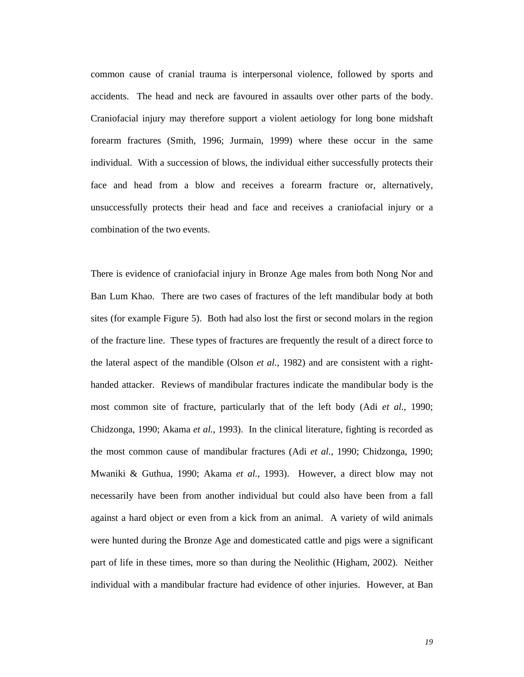common cause of cranial trauma is interpersonal violence, followed by sports and accidents. The head and neck are favoured in assaults over other parts of the body. Craniofacial injury may therefore support a violent aetiology for long bone midshaft forearm fractures (Smith, 1996; Jurmain, 1999) where these occur in the same individual. With a succession of blows, the individual either successfully protects their face and head from a blow and receives a forearm fracture or, alternatively, unsuccessfully protects their head and face and receives a craniofacial injury or a combination of the two events.

There is evidence of craniofacial injury in Bronze Age males from both Nong Nor and Ban Lum Khao. There are two cases of fractures of the left mandibular body at both sites (for example Figure 5). Both had also lost the first or second molars in the region of the fracture line. These types of fractures are frequently the result of a direct force to the lateral aspect of the mandible (Olson *et al.*, 1982) and are consistent with a righthanded attacker. Reviews of mandibular fractures indicate the mandibular body is the most common site of fracture, particularly that of the left body (Adi *et al.*, 1990; Chidzonga, 1990; Akama *et al.*, 1993). In the clinical literature, fighting is recorded as the most common cause of mandibular fractures (Adi *et al.*, 1990; Chidzonga, 1990; Mwaniki & Guthua, 1990; Akama *et al.*, 1993). However, a direct blow may not necessarily have been from another individual but could also have been from a fall against a hard object or even from a kick from an animal. A variety of wild animals were hunted during the Bronze Age and domesticated cattle and pigs were a significant part of life in these times, more so than during the Neolithic (Higham, 2002). Neither individual with a mandibular fracture had evidence of other injuries. However, at Ban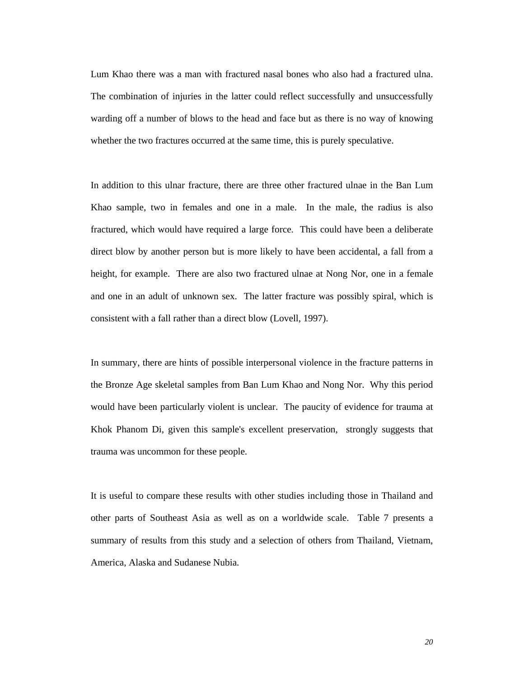Lum Khao there was a man with fractured nasal bones who also had a fractured ulna. The combination of injuries in the latter could reflect successfully and unsuccessfully warding off a number of blows to the head and face but as there is no way of knowing whether the two fractures occurred at the same time, this is purely speculative.

In addition to this ulnar fracture, there are three other fractured ulnae in the Ban Lum Khao sample, two in females and one in a male. In the male, the radius is also fractured, which would have required a large force. This could have been a deliberate direct blow by another person but is more likely to have been accidental, a fall from a height, for example. There are also two fractured ulnae at Nong Nor, one in a female and one in an adult of unknown sex. The latter fracture was possibly spiral, which is consistent with a fall rather than a direct blow (Lovell, 1997).

In summary, there are hints of possible interpersonal violence in the fracture patterns in the Bronze Age skeletal samples from Ban Lum Khao and Nong Nor. Why this period would have been particularly violent is unclear. The paucity of evidence for trauma at Khok Phanom Di, given this sample's excellent preservation, strongly suggests that trauma was uncommon for these people.

It is useful to compare these results with other studies including those in Thailand and other parts of Southeast Asia as well as on a worldwide scale. Table 7 presents a summary of results from this study and a selection of others from Thailand, Vietnam, America, Alaska and Sudanese Nubia.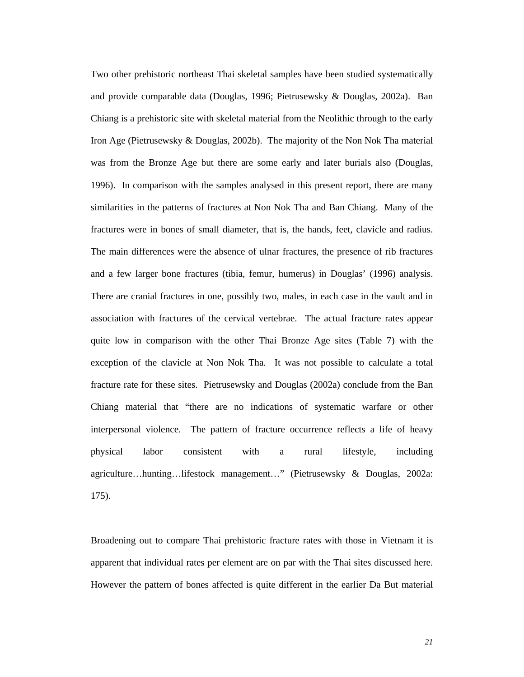Two other prehistoric northeast Thai skeletal samples have been studied systematically and provide comparable data (Douglas, 1996; Pietrusewsky & Douglas, 2002a). Ban Chiang is a prehistoric site with skeletal material from the Neolithic through to the early Iron Age (Pietrusewsky & Douglas, 2002b). The majority of the Non Nok Tha material was from the Bronze Age but there are some early and later burials also (Douglas, 1996). In comparison with the samples analysed in this present report, there are many similarities in the patterns of fractures at Non Nok Tha and Ban Chiang. Many of the fractures were in bones of small diameter, that is, the hands, feet, clavicle and radius. The main differences were the absence of ulnar fractures, the presence of rib fractures and a few larger bone fractures (tibia, femur, humerus) in Douglas' (1996) analysis. There are cranial fractures in one, possibly two, males, in each case in the vault and in association with fractures of the cervical vertebrae. The actual fracture rates appear quite low in comparison with the other Thai Bronze Age sites (Table 7) with the exception of the clavicle at Non Nok Tha. It was not possible to calculate a total fracture rate for these sites. Pietrusewsky and Douglas (2002a) conclude from the Ban Chiang material that "there are no indications of systematic warfare or other interpersonal violence. The pattern of fracture occurrence reflects a life of heavy physical labor consistent with a rural lifestyle, including agriculture…hunting…lifestock management…" (Pietrusewsky & Douglas, 2002a: 175).

Broadening out to compare Thai prehistoric fracture rates with those in Vietnam it is apparent that individual rates per element are on par with the Thai sites discussed here. However the pattern of bones affected is quite different in the earlier Da But material

*21*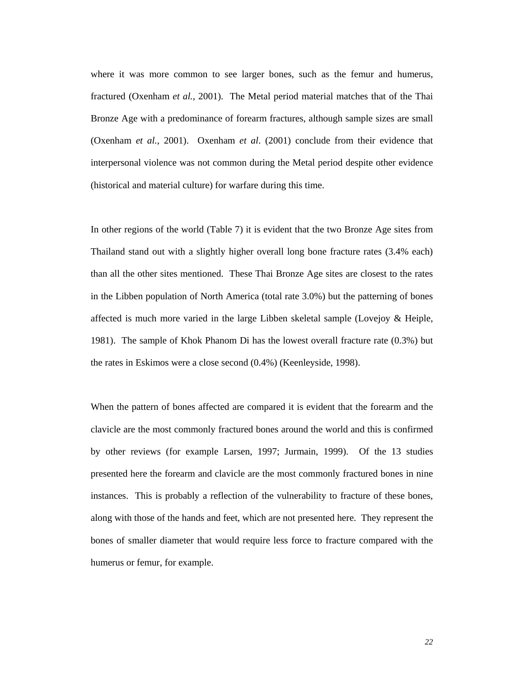where it was more common to see larger bones, such as the femur and humerus, fractured (Oxenham *et al.*, 2001). The Metal period material matches that of the Thai Bronze Age with a predominance of forearm fractures, although sample sizes are small (Oxenham *et al.*, 2001). Oxenham *et al*. (2001) conclude from their evidence that interpersonal violence was not common during the Metal period despite other evidence (historical and material culture) for warfare during this time.

In other regions of the world (Table 7) it is evident that the two Bronze Age sites from Thailand stand out with a slightly higher overall long bone fracture rates (3.4% each) than all the other sites mentioned. These Thai Bronze Age sites are closest to the rates in the Libben population of North America (total rate 3.0%) but the patterning of bones affected is much more varied in the large Libben skeletal sample (Lovejoy & Heiple, 1981). The sample of Khok Phanom Di has the lowest overall fracture rate (0.3%) but the rates in Eskimos were a close second (0.4%) (Keenleyside, 1998).

When the pattern of bones affected are compared it is evident that the forearm and the clavicle are the most commonly fractured bones around the world and this is confirmed by other reviews (for example Larsen, 1997; Jurmain, 1999). Of the 13 studies presented here the forearm and clavicle are the most commonly fractured bones in nine instances. This is probably a reflection of the vulnerability to fracture of these bones, along with those of the hands and feet, which are not presented here. They represent the bones of smaller diameter that would require less force to fracture compared with the humerus or femur, for example.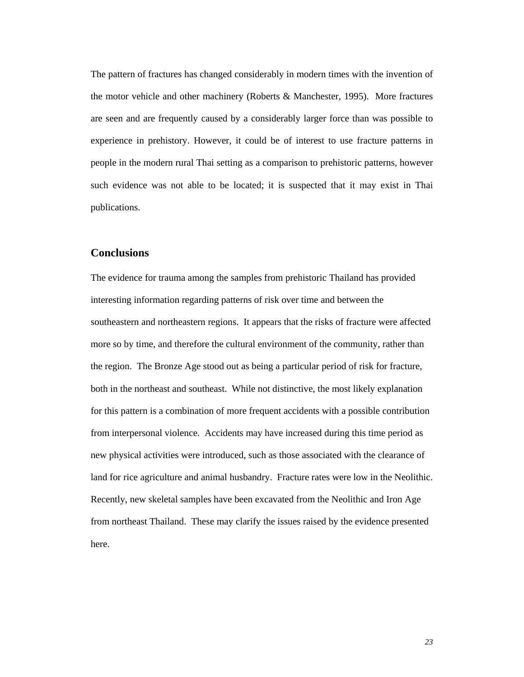The pattern of fractures has changed considerably in modern times with the invention of the motor vehicle and other machinery (Roberts & Manchester, 1995). More fractures are seen and are frequently caused by a considerably larger force than was possible to experience in prehistory. However, it could be of interest to use fracture patterns in people in the modern rural Thai setting as a comparison to prehistoric patterns, however such evidence was not able to be located; it is suspected that it may exist in Thai publications.

#### **Conclusions**

The evidence for trauma among the samples from prehistoric Thailand has provided interesting information regarding patterns of risk over time and between the southeastern and northeastern regions. It appears that the risks of fracture were affected more so by time, and therefore the cultural environment of the community, rather than the region. The Bronze Age stood out as being a particular period of risk for fracture, both in the northeast and southeast. While not distinctive, the most likely explanation for this pattern is a combination of more frequent accidents with a possible contribution from interpersonal violence. Accidents may have increased during this time period as new physical activities were introduced, such as those associated with the clearance of land for rice agriculture and animal husbandry. Fracture rates were low in the Neolithic. Recently, new skeletal samples have been excavated from the Neolithic and Iron Age from northeast Thailand. These may clarify the issues raised by the evidence presented here.

*23*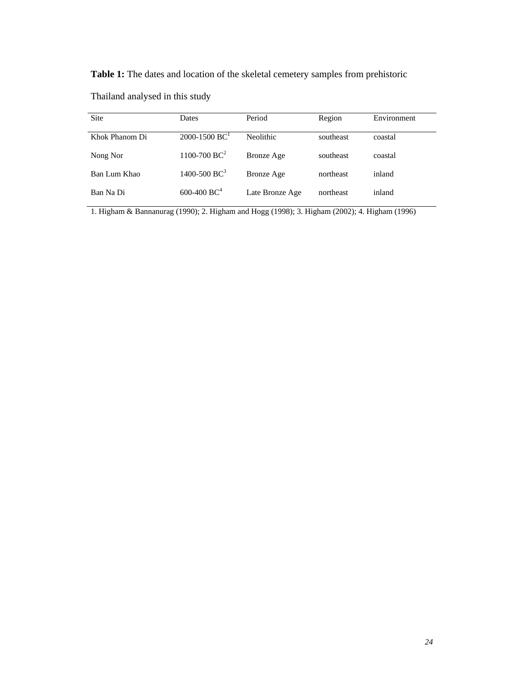**Table 1:** The dates and location of the skeletal cemetery samples from prehistoric

Thailand analysed in this study

| <b>Site</b>    | Dates                         | Period            | Region    | Environment |
|----------------|-------------------------------|-------------------|-----------|-------------|
| Khok Phanom Di | $2000 - 1500$ BC <sup>1</sup> | Neolithic.        | southeast | coastal     |
| Nong Nor       | $1100 - 700 \text{ BC}^2$     | <b>Bronze</b> Age | southeast | coastal     |
| Ban Lum Khao   | 1400-500 $BC^3$               | Bronze Age        | northeast | inland      |
| Ban Na Di      | $600-400$ BC <sup>4</sup>     | Late Bronze Age   | northeast | inland      |

1. Higham & Bannanurag (1990); 2. Higham and Hogg (1998); 3. Higham (2002); 4. Higham (1996)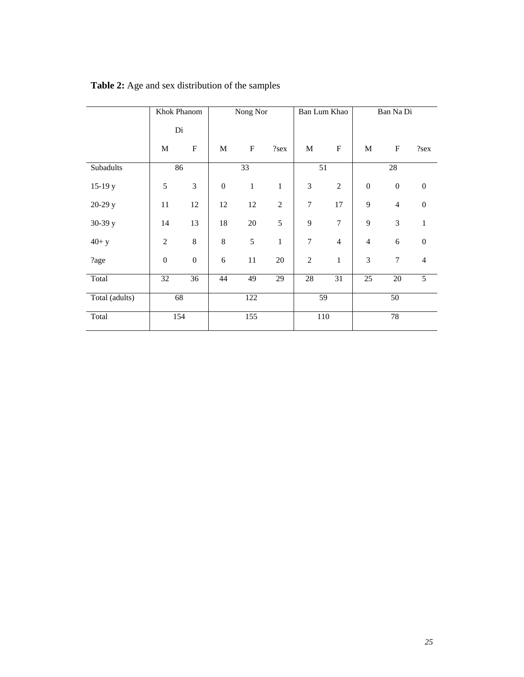|                | Khok Phanom      |                  |                  | Nong Nor        |                | Ban Lum Khao   |                           |                  | Ban Na Di        |                  |
|----------------|------------------|------------------|------------------|-----------------|----------------|----------------|---------------------------|------------------|------------------|------------------|
|                | Di               |                  |                  |                 |                |                |                           |                  |                  |                  |
|                | M                | ${\bf F}$        | M                | ${\bf F}$       | ?sex           | $\mathbf M$    | $\boldsymbol{\mathrm{F}}$ | M                | $\mathbf F$      | ?sex             |
| Subadults      | 86               |                  |                  | $\overline{33}$ |                | 51             |                           |                  | $\overline{28}$  |                  |
| $15-19y$       | 5                | 3                | $\boldsymbol{0}$ | $\mathbf{1}$    | $\mathbf{1}$   | 3              | $\overline{2}$            | $\boldsymbol{0}$ | $\boldsymbol{0}$ | $\boldsymbol{0}$ |
| 20-29 y        | 11               | 12               | 12               | 12              | $\overline{2}$ | $\overline{7}$ | 17                        | 9                | $\overline{4}$   | $\boldsymbol{0}$ |
| 30-39 y        | 14               | 13               | 18               | $20\,$          | 5              | 9              | $\overline{7}$            | 9                | 3                | $\mathbf{1}$     |
| $40+ y$        | $\overline{2}$   | $\,8\,$          | $\,8\,$          | 5               | $\mathbf 1$    | $\overline{7}$ | $\overline{4}$            | $\overline{4}$   | $\epsilon$       | $\boldsymbol{0}$ |
| ?age           | $\boldsymbol{0}$ | $\boldsymbol{0}$ | 6                | 11              | 20             | $\overline{2}$ | $\mathbf{1}$              | 3                | $\boldsymbol{7}$ | $\overline{4}$   |
| Total          | 32               | 36               | 44               | 49              | 29             | $28\,$         | 31                        | 25               | $20\,$           | 5                |
| Total (adults) | 68               |                  |                  | 122             |                | 59             |                           |                  | 50               |                  |
| Total          |                  | 154              |                  | 155             |                |                | 110                       |                  | 78               |                  |

# **Table 2:** Age and sex distribution of the samples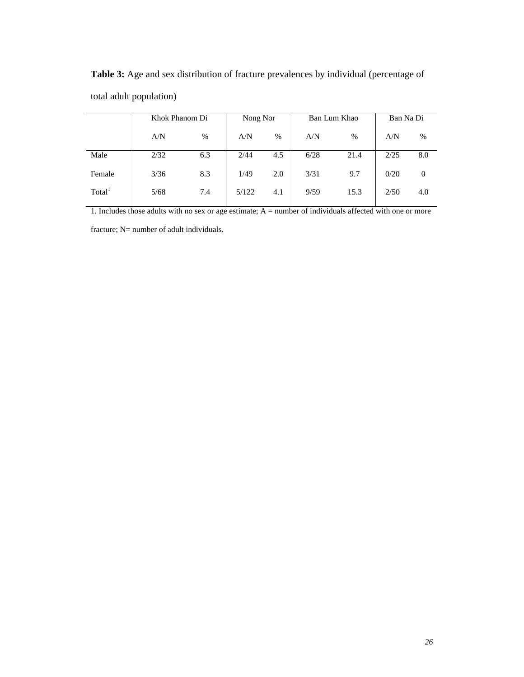|                    | Khok Phanom Di |      | Nong Nor |      |      | Ban Lum Khao | Ban Na Di |      |
|--------------------|----------------|------|----------|------|------|--------------|-----------|------|
|                    | A/N            | $\%$ | A/N      | $\%$ | A/N  | $\%$         | A/N       | $\%$ |
| Male               | 2/32           | 6.3  | 2/44     | 4.5  | 6/28 | 21.4         | 2/25      | 8.0  |
| Female             | 3/36           | 8.3  | 1/49     | 2.0  | 3/31 | 9.7          | 0/20      | 0    |
| Total <sup>1</sup> | 5/68           | 7.4  | 5/122    | 4.1  | 9/59 | 15.3         | 2/50      | 4.0  |

**Table 3:** Age and sex distribution of fracture prevalences by individual (percentage of total adult population)

1. Includes those adults with no sex or age estimate; A = number of individuals affected with one or more

fracture; N= number of adult individuals.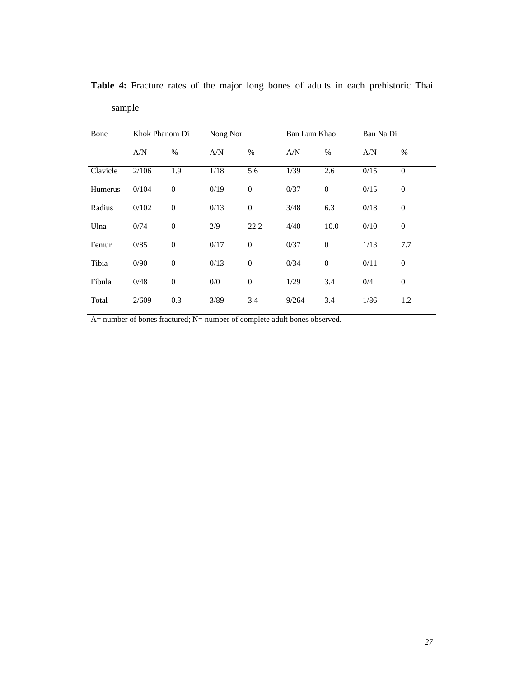| Bone     | Khok Phanom Di |                  | Nong Nor |                  | Ban Lum Khao |              | Ban Na Di |                  |
|----------|----------------|------------------|----------|------------------|--------------|--------------|-----------|------------------|
|          | A/N            | $\%$             | A/N      | $\%$             | A/N          | $\%$         | A/N       | $\%$             |
| Clavicle | 2/106          | 1.9              | 1/18     | 5.6              | 1/39         | 2.6          | 0/15      | $\Omega$         |
| Humerus  | 0/104          | $\boldsymbol{0}$ | 0/19     | $\boldsymbol{0}$ | 0/37         | $\mathbf{0}$ | 0/15      | $\boldsymbol{0}$ |
| Radius   | 0/102          | $\overline{0}$   | 0/13     | $\boldsymbol{0}$ | 3/48         | 6.3          | 0/18      | $\mathbf{0}$     |
| Ulna     | 0/74           | $\boldsymbol{0}$ | 2/9      | 22.2             | 4/40         | 10.0         | 0/10      | $\mathbf{0}$     |
| Femur    | 0/85           | $\boldsymbol{0}$ | 0/17     | $\overline{0}$   | 0/37         | $\mathbf{0}$ | 1/13      | 7.7              |
| Tibia    | 0/90           | $\overline{0}$   | 0/13     | $\overline{0}$   | 0/34         | $\mathbf{0}$ | 0/11      | $\mathbf{0}$     |
| Fibula   | 0/48           | $\boldsymbol{0}$ | 0/0      | $\boldsymbol{0}$ | 1/29         | 3.4          | 0/4       | $\mathbf{0}$     |
| Total    | 2/609          | 0.3              | 3/89     | 3.4              | 9/264        | 3.4          | 1/86      | 1.2              |

**Table 4:** Fracture rates of the major long bones of adults in each prehistoric Thai sample

A= number of bones fractured; N= number of complete adult bones observed.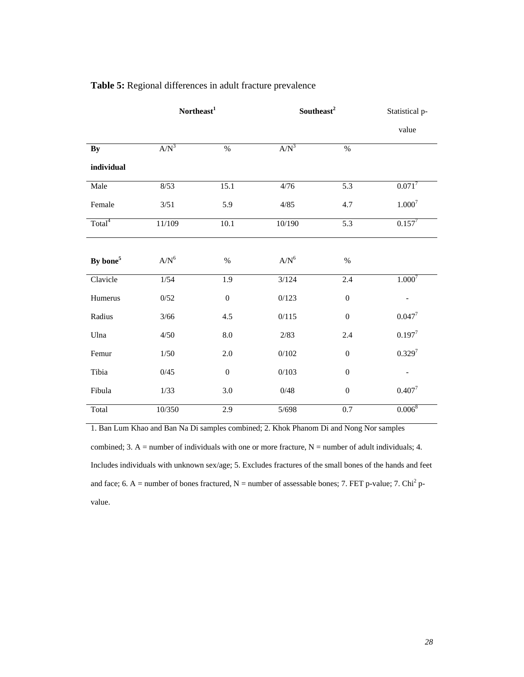|                      | Northeast <sup>1</sup> |                  | Southeast <sup>2</sup> | Statistical p-   |                   |  |
|----------------------|------------------------|------------------|------------------------|------------------|-------------------|--|
|                      |                        |                  |                        |                  | value             |  |
| By                   | $A/N^3$                | $\overline{\%}$  | $A/N^3$                | $\overline{\%}$  |                   |  |
| individual           |                        |                  |                        |                  |                   |  |
| Male                 | 8/53                   | 15.1             | 4/76                   | $\overline{5.3}$ | $0.071^{7}$       |  |
| Female               | 3/51                   | 5.9              | 4/85                   | 4.7              | $1.000^{7}$       |  |
| Total <sup>4</sup>   | 11/109                 | 10.1             | 10/190                 | 5.3              | $0.157^{7}$       |  |
|                      |                        |                  |                        |                  |                   |  |
| By bone <sup>5</sup> | $A/N^6$                | $\%$             | $A/N^6$                | $\%$             |                   |  |
| Clavicle             | $1/54$                 | 1.9              | 3/124                  | 2.4              | $1.000^{7}$       |  |
| Humerus              | 0/52                   | $\boldsymbol{0}$ | 0/123                  | $\boldsymbol{0}$ | $\qquad \qquad -$ |  |
| Radius               | 3/66                   | 4.5              | 0/115                  | $\boldsymbol{0}$ | $0.047^{7}$       |  |
| Ulna                 | 4/50                   | $\ \, 8.0$       | 2/83                   | 2.4              | $0.197^{7}$       |  |
| Femur                | 1/50                   | $2.0\,$          | 0/102                  | $\mathbf{0}$     | $0.329^{7}$       |  |
| Tibia                | 0/45                   | $\boldsymbol{0}$ | 0/103                  | $\boldsymbol{0}$ |                   |  |
| Fibula               | 1/33                   | 3.0              | 0/48                   | $\boldsymbol{0}$ | $0.407^{7}$       |  |
| Total                | 10/350                 | 2.9              | 5/698                  | 0.7              | $0.006^{8}$       |  |

## **Table 5:** Regional differences in adult fracture prevalence

1. Ban Lum Khao and Ban Na Di samples combined; 2. Khok Phanom Di and Nong Nor samples combined; 3. A = number of individuals with one or more fracture,  $N =$  number of adult individuals; 4. Includes individuals with unknown sex/age; 5. Excludes fractures of the small bones of the hands and feet and face; 6. A = number of bones fractured,  $N =$  number of assessable bones; 7. FET p-value; 7. Chi<sup>2</sup> pvalue.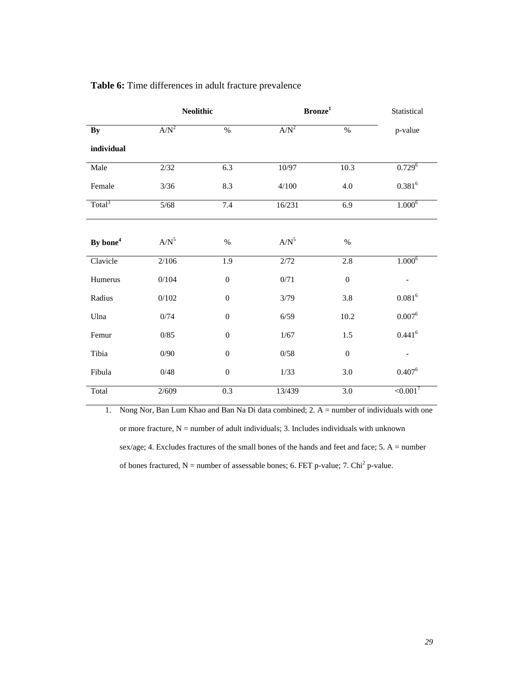|                      | <b>Neolithic</b> |                  | Bronze <sup>1</sup> |                  | Statistical    |
|----------------------|------------------|------------------|---------------------|------------------|----------------|
| By                   | $A/N^2$          | $\%$             | $A/N^2$             | $\%$             | p-value        |
| individual           |                  |                  |                     |                  |                |
| Male                 | 2/32             | 6.3              | 10/97               | 10.3             | $0.729^{6}$    |
| Female               | $3/36$           | 8.3              | 4/100               | 4.0              | $0.381^{6}$    |
| Total <sup>3</sup>   | $5/68$           | 7.4              | 16/231              | 6.9              | $1.000^6$      |
|                      |                  |                  |                     |                  |                |
| By bone <sup>4</sup> | $A/N^5$          | $\%$             | $A/N^5$             | $\%$             |                |
| Clavicle             | 2/106            | 1.9              | 2/72                | 2.8              | $1.000^6$      |
| Humerus              | 0/104            | $\boldsymbol{0}$ | 0/71                | $\boldsymbol{0}$ |                |
| Radius               | 0/102            | $\boldsymbol{0}$ | 3/79                | 3.8              | $0.081^{6}$    |
| Ulna                 | 0/74             | $\boldsymbol{0}$ | 6/59                | $10.2\,$         | $0.007^6$      |
| Femur                | 0/85             | $\boldsymbol{0}$ | 1/67                | $1.5\,$          | $0.441^{6}$    |
| Tibia                | 0/90             | $\boldsymbol{0}$ | 0/58                | $\mathbf{0}$     |                |
| Fibula               | 0/48             | $\boldsymbol{0}$ | 1/33                | 3.0              | $0.407^6$      |
| Total                | 2/609            | 0.3              | 13/439              | 3.0              | $\leq 0.001^7$ |

#### **Table 6:** Time differences in adult fracture prevalence

1. Nong Nor, Ban Lum Khao and Ban Na Di data combined; 2. A = number of individuals with one or more fracture,  $N =$  number of adult individuals; 3. Includes individuals with unknown sex/age; 4. Excludes fractures of the small bones of the hands and feet and face; 5. A = number of bones fractured,  $N =$  number of assessable bones; 6. FET p-value; 7. Chi<sup>2</sup> p-value.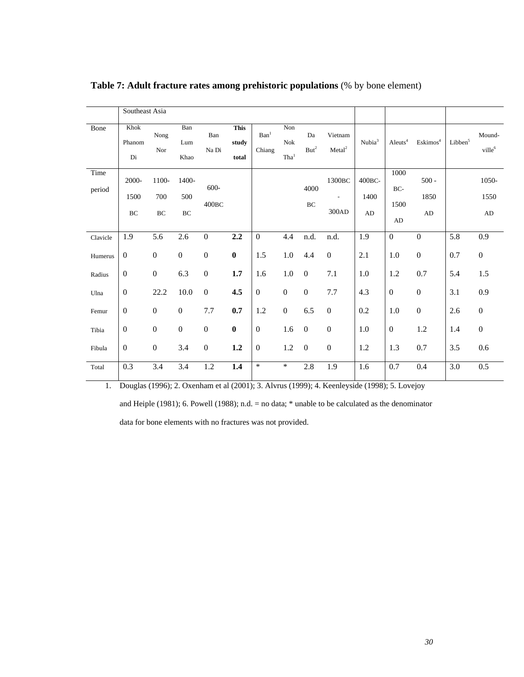|                | Southeast Asia       |                    |                          |                              |                               |                            |                           |                        |                                               |                                 |                           |                               |                                |                          |
|----------------|----------------------|--------------------|--------------------------|------------------------------|-------------------------------|----------------------------|---------------------------|------------------------|-----------------------------------------------|---------------------------------|---------------------------|-------------------------------|--------------------------------|--------------------------|
| Bone           | Khok<br>Phanom<br>Di | Nong<br>Nor        | Ban<br>Lum<br>Khao       | Ban<br>Na Di                 | <b>This</b><br>study<br>total | Ban <sup>1</sup><br>Chiang | Non<br>Nok<br>$\rm Tha^1$ | Da<br>$\mathrm{But}^2$ | Vietnam<br>Meta <sup>2</sup>                  | Nubia <sup>3</sup>              | Aleuts <sup>4</sup>       | $E$ skimos <sup>4</sup>       | $\ensuremath{\text{Libben}}^5$ | Mound-<br>$\rm{ville}^6$ |
| Time<br>period | 2000-<br>1500<br>BC  | 1100-<br>700<br>BC | 1400-<br>500<br>$\rm BC$ | $600 -$<br>400 <sub>BC</sub> |                               |                            |                           | 4000<br>BC             | 1300 <sub>BC</sub><br>$\blacksquare$<br>300AD | 400 <sub>BC</sub><br>1400<br>AD | 1000<br>BC-<br>1500<br>AD | $500 -$<br>1850<br>${\rm AD}$ |                                | 1050-<br>1550<br>AD      |
| Clavicle       | 1.9                  | 5.6                | 2.6                      | $\boldsymbol{0}$             | 2.2                           | $\mathbf{0}$               | 4.4                       | n.d.                   | n.d.                                          | 1.9                             | $\mathbf{0}$              | $\overline{0}$                | 5.8                            | 0.9                      |
| Humerus        | $\boldsymbol{0}$     | $\boldsymbol{0}$   | $\boldsymbol{0}$         | $\boldsymbol{0}$             | $\bf{0}$                      | 1.5                        | 1.0                       | 4.4                    | $\mathbf{0}$                                  | 2.1                             | 1.0                       | $\boldsymbol{0}$              | 0.7                            | $\boldsymbol{0}$         |
| Radius         | $\boldsymbol{0}$     | $\boldsymbol{0}$   | 6.3                      | $\boldsymbol{0}$             | 1.7                           | 1.6                        | $1.0\,$                   | $\boldsymbol{0}$       | 7.1                                           | 1.0                             | 1.2                       | 0.7                           | 5.4                            | $1.5\,$                  |
| Ulna           | $\boldsymbol{0}$     | 22.2               | 10.0                     | $\boldsymbol{0}$             | 4.5                           | $\boldsymbol{0}$           | $\boldsymbol{0}$          | $\boldsymbol{0}$       | 7.7                                           | 4.3                             | $\mathbf{0}$              | $\boldsymbol{0}$              | 3.1                            | $0.9\,$                  |
| Femur          | $\boldsymbol{0}$     | $\boldsymbol{0}$   | $\boldsymbol{0}$         | 7.7                          | 0.7                           | 1.2                        | $\boldsymbol{0}$          | 6.5                    | $\boldsymbol{0}$                              | 0.2                             | 1.0                       | $\boldsymbol{0}$              | 2.6                            | $\boldsymbol{0}$         |
| Tibia          | $\boldsymbol{0}$     | $\boldsymbol{0}$   | $\boldsymbol{0}$         | $\boldsymbol{0}$             | $\bf{0}$                      | $\boldsymbol{0}$           | 1.6                       | $\mathbf{0}$           | $\mathbf{0}$                                  | 1.0                             | $\mathbf{0}$              | 1.2                           | 1.4                            | $\boldsymbol{0}$         |
| Fibula         | $\mathbf{0}$         | $\boldsymbol{0}$   | 3.4                      | $\boldsymbol{0}$             | 1.2                           | $\boldsymbol{0}$           | $1.2\,$                   | $\boldsymbol{0}$       | $\boldsymbol{0}$                              | 1.2                             | 1.3                       | 0.7                           | 3.5                            | 0.6                      |
| Total          | 0.3                  | 3.4                | 3.4                      | 1.2                          | 1.4                           | $\star$                    | $\ast$                    | 2.8                    | 1.9                                           | 1.6                             | 0.7                       | 0.4                           | 3.0                            | 0.5                      |

**Table 7: Adult fracture rates among prehistoric populations** (% by bone element)

1. Douglas (1996); 2. Oxenham et al (2001); 3. Alvrus (1999); 4. Keenleyside (1998); 5. Lovejoy

and Heiple (1981); 6. Powell (1988); n.d. = no data; \* unable to be calculated as the denominator

data for bone elements with no fractures was not provided.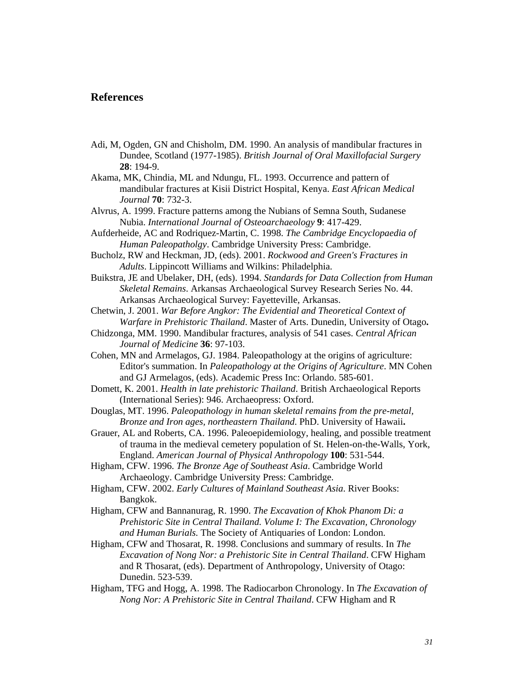#### **References**

- Adi, M, Ogden, GN and Chisholm, DM. 1990. An analysis of mandibular fractures in Dundee, Scotland (1977-1985). *British Journal of Oral Maxillofacial Surgery* **28**: 194-9.
- Akama, MK, Chindia, ML and Ndungu, FL. 1993. Occurrence and pattern of mandibular fractures at Kisii District Hospital, Kenya. *East African Medical Journal* **70**: 732-3.

Alvrus, A. 1999. Fracture patterns among the Nubians of Semna South, Sudanese Nubia. *International Journal of Osteoarchaeology* **9**: 417-429.

- Aufderheide, AC and Rodriquez-Martin, C. 1998. *The Cambridge Encyclopaedia of Human Paleopatholgy*. Cambridge University Press: Cambridge.
- Bucholz, RW and Heckman, JD, (eds). 2001. *Rockwood and Green's Fractures in Adults*. Lippincott Williams and Wilkins: Philadelphia.
- Buikstra, JE and Ubelaker, DH, (eds). 1994. *Standards for Data Collection from Human Skeletal Remains*. Arkansas Archaeological Survey Research Series No. 44. Arkansas Archaeological Survey: Fayetteville, Arkansas.
- Chetwin, J. 2001. *War Before Angkor: The Evidential and Theoretical Context of Warfare in Prehistoric Thailand*. Master of Arts. Dunedin, University of Otago**.**
- Chidzonga, MM. 1990. Mandibular fractures, analysis of 541 cases. *Central African Journal of Medicine* **36**: 97-103.
- Cohen, MN and Armelagos, GJ. 1984. Paleopathology at the origins of agriculture: Editor's summation. In *Paleopathology at the Origins of Agriculture*. MN Cohen and GJ Armelagos, (eds). Academic Press Inc: Orlando. 585-601.
- Domett, K. 2001. *Health in late prehistoric Thailand*. British Archaeological Reports (International Series): 946. Archaeopress: Oxford.
- Douglas, MT. 1996. *Paleopathology in human skeletal remains from the pre-metal, Bronze and Iron ages, northeastern Thailand*. PhD. University of Hawaii**.**
- Grauer, AL and Roberts, CA. 1996. Paleoepidemiology, healing, and possible treatment of trauma in the medieval cemetery population of St. Helen-on-the-Walls, York, England. *American Journal of Physical Anthropology* **100**: 531-544.
- Higham, CFW. 1996. *The Bronze Age of Southeast Asia*. Cambridge World Archaeology. Cambridge University Press: Cambridge.
- Higham, CFW. 2002. *Early Cultures of Mainland Southeast Asia*. River Books: Bangkok.
- Higham, CFW and Bannanurag, R. 1990. *The Excavation of Khok Phanom Di: a Prehistoric Site in Central Thailand. Volume I: The Excavation, Chronology and Human Burials.* The Society of Antiquaries of London: London.
- Higham, CFW and Thosarat, R. 1998. Conclusions and summary of results. In *The Excavation of Nong Nor: a Prehistoric Site in Central Thailand*. CFW Higham and R Thosarat, (eds). Department of Anthropology, University of Otago: Dunedin. 523-539.
- Higham, TFG and Hogg, A. 1998. The Radiocarbon Chronology. In *The Excavation of Nong Nor: A Prehistoric Site in Central Thailand*. CFW Higham and R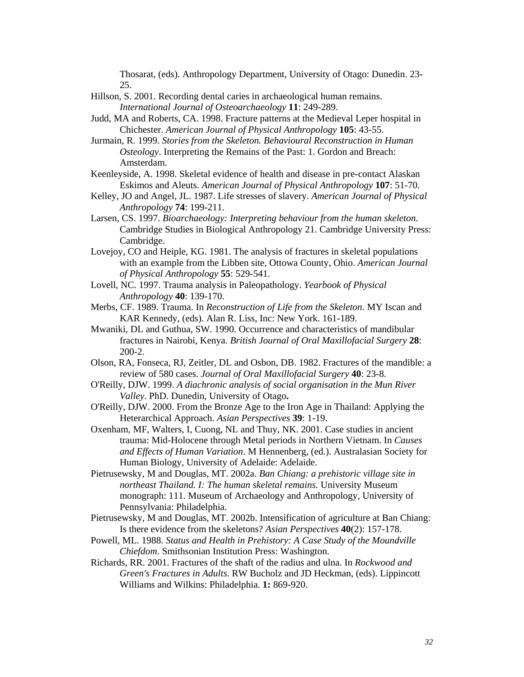Thosarat, (eds). Anthropology Department, University of Otago: Dunedin. 23- 25.

- Hillson, S. 2001. Recording dental caries in archaeological human remains. *International Journal of Osteoarchaeology* **11**: 249-289.
- Judd, MA and Roberts, CA. 1998. Fracture patterns at the Medieval Leper hospital in Chichester. *American Journal of Physical Anthropology* **105**: 43-55.
- Jurmain, R. 1999. *Stories from the Skeleton. Behavioural Reconstruction in Human Osteology*. Interpreting the Remains of the Past: 1. Gordon and Breach: Amsterdam.
- Keenleyside, A. 1998. Skeletal evidence of health and disease in pre-contact Alaskan Eskimos and Aleuts. *American Journal of Physical Anthropology* **107**: 51-70.
- Kelley, JO and Angel, JL. 1987. Life stresses of slavery. *American Journal of Physical Anthropology* **74**: 199-211.
- Larsen, CS. 1997. *Bioarchaeology: Interpreting behaviour from the human skeleton*. Cambridge Studies in Biological Anthropology 21. Cambridge University Press: Cambridge.
- Lovejoy, CO and Heiple, KG. 1981. The analysis of fractures in skeletal populations with an example from the Libben site, Ottowa County, Ohio. *American Journal of Physical Anthropology* **55**: 529-541.
- Lovell, NC. 1997. Trauma analysis in Paleopathology. *Yearbook of Physical Anthropology* **40**: 139-170.
- Merbs, CF. 1989. Trauma. In *Reconstruction of Life from the Skeleton*. MY Iscan and KAR Kennedy, (eds). Alan R. Liss, Inc: New York. 161-189.
- Mwaniki, DL and Guthua, SW. 1990. Occurrence and characteristics of mandibular fractures in Nairobi, Kenya. *British Journal of Oral Maxillofacial Surgery* **28**: 200-2.
- Olson, RA, Fonseca, RJ, Zeitler, DL and Osbon, DB. 1982. Fractures of the mandible: a review of 580 cases. *Journal of Oral Maxillofacial Surgery* **40**: 23-8.
- O'Reilly, DJW. 1999. *A diachronic analysis of social organisation in the Mun River Valley*. PhD. Dunedin, University of Otago**.**
- O'Reilly, DJW. 2000. From the Bronze Age to the Iron Age in Thailand: Applying the Heterarchical Approach. *Asian Perspectives* **39**: 1-19.
- Oxenham, MF, Walters, I, Cuong, NL and Thuy, NK. 2001. Case studies in ancient trauma: Mid-Holocene through Metal periods in Northern Vietnam. In *Causes and Effects of Human Variation*. M Hennenberg, (ed.). Australasian Society for Human Biology, University of Adelaide: Adelaide.
- Pietrusewsky, M and Douglas, MT. 2002a. *Ban Chiang: a prehistoric village site in northeast Thailand. I: The human skeletal remains.* University Museum monograph: 111. Museum of Archaeology and Anthropology, University of Pennsylvania: Philadelphia.
- Pietrusewsky, M and Douglas, MT. 2002b. Intensification of agriculture at Ban Chiang: Is there evidence from the skeletons? *Asian Perspectives* **40**(2): 157-178.
- Powell, ML. 1988. *Status and Health in Prehistory: A Case Study of the Moundville Chiefdom*. Smithsonian Institution Press: Washington.
- Richards, RR. 2001. Fractures of the shaft of the radius and ulna. In *Rockwood and Green's Fractures in Adults*. RW Bucholz and JD Heckman, (eds). Lippincott Williams and Wilkins: Philadelphia. **1:** 869-920.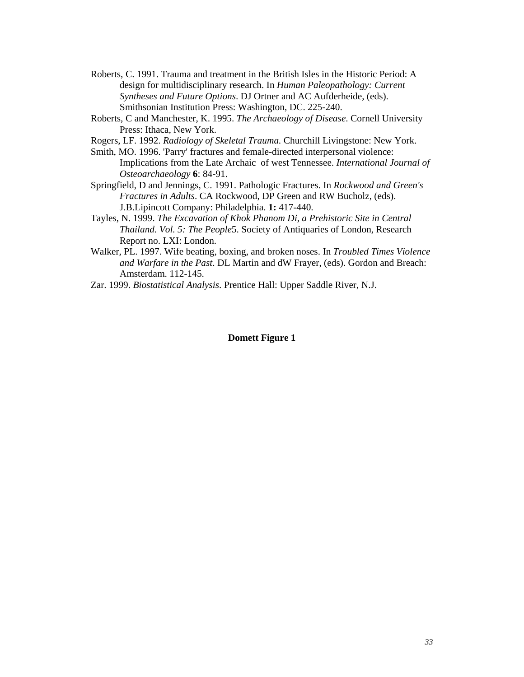- Roberts, C. 1991. Trauma and treatment in the British Isles in the Historic Period: A design for multidisciplinary research. In *Human Paleopathology: Current Syntheses and Future Options*. DJ Ortner and AC Aufderheide, (eds). Smithsonian Institution Press: Washington, DC. 225-240.
- Roberts, C and Manchester, K. 1995. *The Archaeology of Disease*. Cornell University Press: Ithaca, New York.
- Rogers, LF. 1992. *Radiology of Skeletal Trauma.* Churchill Livingstone: New York.
- Smith, MO. 1996. 'Parry' fractures and female-directed interpersonal violence: Implications from the Late Archaic of west Tennessee. *International Journal of Osteoarchaeology* **6**: 84-91.
- Springfield, D and Jennings, C. 1991. Pathologic Fractures. In *Rockwood and Green's Fractures in Adults*. CA Rockwood, DP Green and RW Bucholz, (eds). J.B.Lipincott Company: Philadelphia. **1:** 417-440.
- Tayles, N. 1999. *The Excavation of Khok Phanom Di, a Prehistoric Site in Central Thailand. Vol. 5: The People*5. Society of Antiquaries of London, Research Report no. LXI: London.
- Walker, PL. 1997. Wife beating, boxing, and broken noses. In *Troubled Times Violence and Warfare in the Past*. DL Martin and dW Frayer, (eds). Gordon and Breach: Amsterdam. 112-145.
- Zar. 1999. *Biostatistical Analysis*. Prentice Hall: Upper Saddle River, N.J.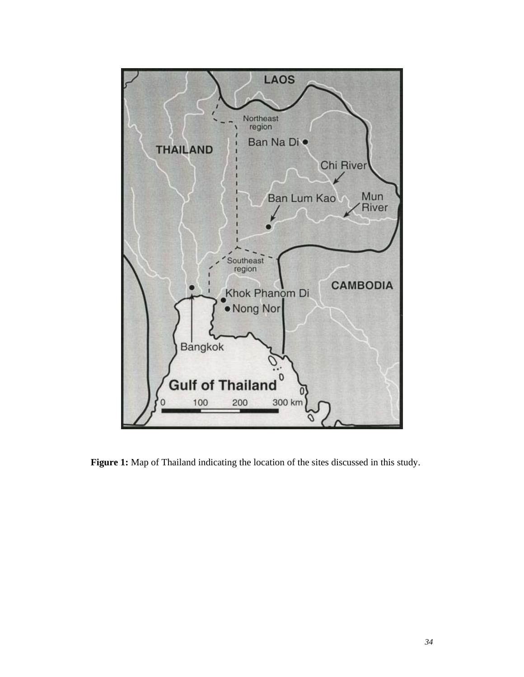

**Figure 1:** Map of Thailand indicating the location of the sites discussed in this study.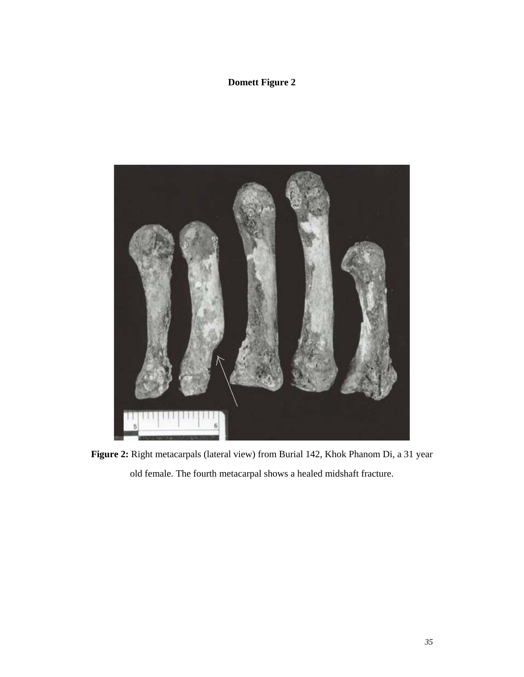

**Figure 2:** Right metacarpals (lateral view) from Burial 142, Khok Phanom Di, a 31 year old female. The fourth metacarpal shows a healed midshaft fracture.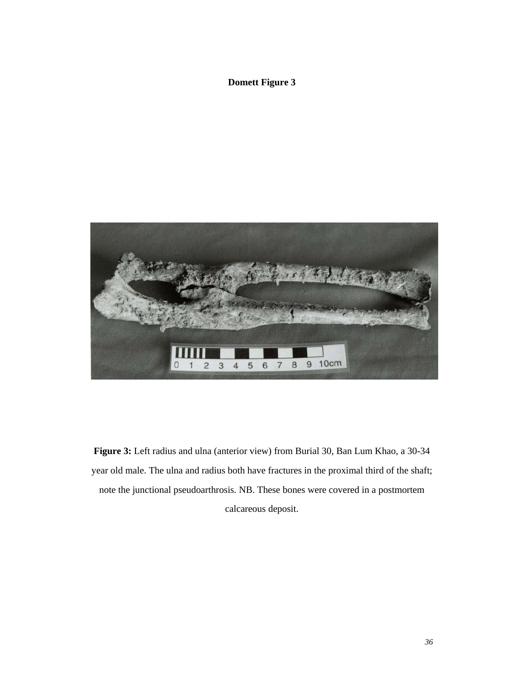

**Figure 3:** Left radius and ulna (anterior view) from Burial 30, Ban Lum Khao, a 30-34 year old male. The ulna and radius both have fractures in the proximal third of the shaft; note the junctional pseudoarthrosis. NB. These bones were covered in a postmortem

calcareous deposit.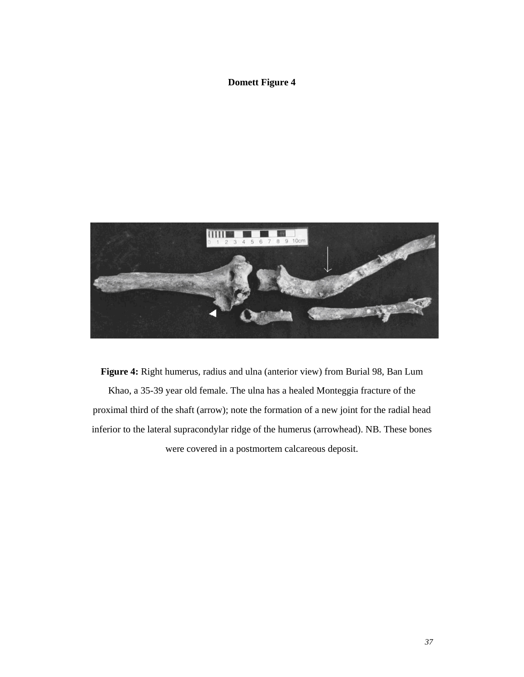

**Figure 4:** Right humerus, radius and ulna (anterior view) from Burial 98, Ban Lum Khao, a 35-39 year old female. The ulna has a healed Monteggia fracture of the proximal third of the shaft (arrow); note the formation of a new joint for the radial head inferior to the lateral supracondylar ridge of the humerus (arrowhead). NB. These bones were covered in a postmortem calcareous deposit.